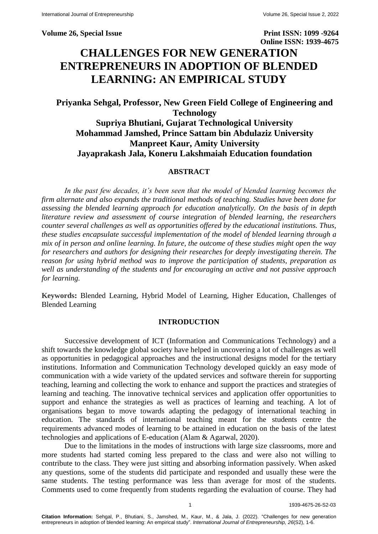**Volume 26, Special Issue Print ISSN: 1099 -9264** 

**Online ISSN: 1939-4675**

# **CHALLENGES FOR NEW GENERATION ENTREPRENEURS IN ADOPTION OF BLENDED LEARNING: AN EMPIRICAL STUDY**

## **Priyanka Sehgal, Professor, New Green Field College of Engineering and Technology Supriya Bhutiani, Gujarat Technological University Mohammad Jamshed, Prince Sattam bin Abdulaziz University Manpreet Kaur, Amity University Jayaprakash Jala, Koneru Lakshmaiah Education foundation**

## **ABSTRACT**

*In the past few decades, it's been seen that the model of blended learning becomes the firm alternate and also expands the traditional methods of teaching. Studies have been done for assessing the blended learning approach for education analytically. On the basis of in depth literature review and assessment of course integration of blended learning, the researchers counter several challenges as well as opportunities offered by the educational institutions. Thus, these studies encapsulate successful implementation of the model of blended learning through a mix of in person and online learning. In future, the outcome of these studies might open the way for researchers and authors for designing their researches for deeply investigating therein. The reason for using hybrid method was to improve the participation of students, preparation as well as understanding of the students and for encouraging an active and not passive approach for learning.* 

**Keywords:** Blended Learning, Hybrid Model of Learning, Higher Education, Challenges of Blended Learning

#### **INTRODUCTION**

Successive development of ICT (Information and Communications Technology) and a shift towards the knowledge global society have helped in uncovering a lot of challenges as well as opportunities in pedagogical approaches and the instructional designs model for the tertiary institutions. Information and Communication Technology developed quickly an easy mode of communication with a wide variety of the updated services and software therein for supporting teaching, learning and collecting the work to enhance and support the practices and strategies of learning and teaching. The innovative technical services and application offer opportunities to support and enhance the strategies as well as practices of learning and teaching. A lot of organisations began to move towards adapting the pedagogy of international teaching in education. The standards of international teaching meant for the students centre the requirements advanced modes of learning to be attained in education on the basis of the latest technologies and applications of E-education (Alam & Agarwal, 2020).

Due to the limitations in the modes of instructions with large size classrooms, more and more students had started coming less prepared to the class and were also not willing to contribute to the class. They were just sitting and absorbing information passively. When asked any questions, some of the students did participate and responded and usually these were the same students. The testing performance was less than average for most of the students. Comments used to come frequently from students regarding the evaluation of course. They had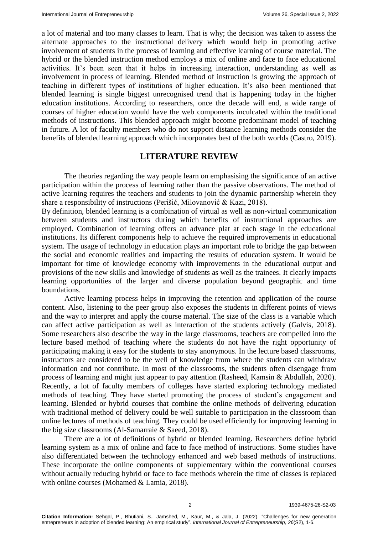a lot of material and too many classes to learn. That is why; the decision was taken to assess the alternate approaches to the instructional delivery which would help in promoting active involvement of students in the process of learning and effective learning of course material. The hybrid or the blended instruction method employs a mix of online and face to face educational activities. It's been seen that it helps in increasing interaction, understanding as well as involvement in process of learning. Blended method of instruction is growing the approach of teaching in different types of institutions of higher education. It's also been mentioned that blended learning is single biggest unrecognised trend that is happening today in the higher education institutions. According to researchers, once the decade will end, a wide range of courses of higher education would have the web components inculcated within the traditional methods of instructions. This blended approach might become predominant model of teaching in future. A lot of faculty members who do not support distance learning methods consider the benefits of blended learning approach which incorporates best of the both worlds (Castro, 2019).

## **LITERATURE REVIEW**

The theories regarding the way people learn on emphasising the significance of an active participation within the process of learning rather than the passive observations. The method of active learning requires the teachers and students to join the dynamic partnership wherein they share a responsibility of instructions (Perišić, Milovanović & Kazi, 2018).

By definition, blended learning is a combination of virtual as well as non-virtual communication between students and instructors during which benefits of instructional approaches are employed. Combination of learning offers an advance plat at each stage in the educational institutions. Its different components help to achieve the required improvements in educational system. The usage of technology in education plays an important role to bridge the gap between the social and economic realities and impacting the results of education system. It would be important for time of knowledge economy with improvements in the educational output and provisions of the new skills and knowledge of students as well as the trainees. It clearly impacts learning opportunities of the larger and diverse population beyond geographic and time boundations.

Active learning process helps in improving the retention and application of the course content. Also, listening to the peer group also exposes the students in different points of views and the way to interpret and apply the course material. The size of the class is a variable which can affect active participation as well as interaction of the students actively (Galvis, 2018). Some researchers also describe the way in the large classrooms, teachers are compelled into the lecture based method of teaching where the students do not have the right opportunity of participating making it easy for the students to stay anonymous. In the lecture based classrooms, instructors are considered to be the well of knowledge from where the students can withdraw information and not contribute. In most of the classrooms, the students often disengage from process of learning and might just appear to pay attention (Rasheed, Kamsin & Abdullah, 2020). Recently, a lot of faculty members of colleges have started exploring technology mediated methods of teaching. They have started promoting the process of student's engagement and learning. Blended or hybrid courses that combine the online methods of delivering education with traditional method of delivery could be well suitable to participation in the classroom than online lectures of methods of teaching. They could be used efficiently for improving learning in the big size classrooms (Al-Samarraie & Saeed, 2018).

There are a lot of definitions of hybrid or blended learning. Researchers define hybrid learning system as a mix of online and face to face method of instructions. Some studies have also differentiated between the technology enhanced and web based methods of instructions. These incorporate the online components of supplementary within the conventional courses without actually reducing hybrid or face to face methods wherein the time of classes is replaced with online courses (Mohamed & Lamia, 2018).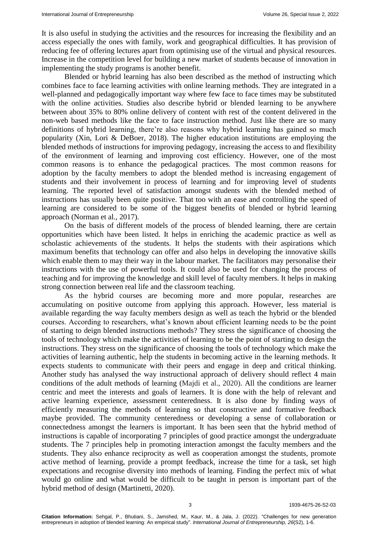It is also useful in studying the activities and the resources for increasing the flexibility and an access especially the ones with family, work and geographical difficulties. It has provision of reducing fee of offering lectures apart from optimising use of the virtual and physical resources. Increase in the competition level for building a new market of students because of innovation in implementing the study programs is another benefit.

Blended or hybrid learning has also been described as the method of instructing which combines face to face learning activities with online learning methods. They are integrated in a well-planned and pedagogically important way where few face to face times may be substituted with the online activities. Studies also describe hybrid or blended learning to be anywhere between about 35% to 80% online delivery of content with rest of the content delivered in the non-web based methods like the face to face instruction method. Just like there are so many definitions of hybrid learning, there're also reasons why hybrid learning has gained so much popularity (Xin, Lori & DeBoer, 2018). The higher education institutions are employing the blended methods of instructions for improving pedagogy, increasing the access to and flexibility of the environment of learning and improving cost efficiency. However, one of the most common reasons is to enhance the pedagogical practices. The most common reasons for adoption by the faculty members to adopt the blended method is increasing engagement of students and their involvement in process of learning and for improving level of students learning. The reported level of satisfaction amongst students with the blended method of instructions has usually been quite positive. That too with an ease and controlling the speed of learning are considered to be some of the biggest benefits of blended or hybrid learning approach (Norman et al., 2017).

On the basis of different models of the process of blended learning, there are certain opportunities which have been listed. It helps in enriching the academic practice as well as scholastic achievements of the students. It helps the students with their aspirations which maximum benefits that technology can offer and also helps in developing the innovative skills which enable them to may their way in the labour market. The facilitators may personalise their instructions with the use of powerful tools. It could also be used for changing the process of teaching and for improving the knowledge and skill level of faculty members. It helps in making strong connection between real life and the classroom teaching.

As the hybrid courses are becoming more and more popular, researches are accumulating on positive outcome from applying this approach. However, less material is available regarding the way faculty members design as well as teach the hybrid or the blended courses. According to researchers, what's known about efficient learning needs to be the point of starting to deign blended instructions methods? They stress the significance of choosing the tools of technology which make the activities of learning to be the point of starting to design the instructions. They stress on the significance of choosing the tools of technology which make the activities of learning authentic, help the students in becoming active in the learning methods. It expects students to communicate with their peers and engage in deep and critical thinking. Another study has analysed the way instructional approach of delivery should reflect 4 main conditions of the adult methods of learning (Majdi et al., 2020). All the conditions are learner centric and meet the interests and goals of learners. It is done with the help of relevant and active learning experience, assessment centeredness. It is also done by finding ways of efficiently measuring the methods of learning so that constructive and formative feedback maybe provided. The community centeredness or developing a sense of collaboration or connectedness amongst the learners is important. It has been seen that the hybrid method of instructions is capable of incorporating 7 principles of good practice amongst the undergraduate students. The 7 principles help in promoting interaction amongst the faculty members and the students. They also enhance reciprocity as well as cooperation amongst the students, promote active method of learning, provide a prompt feedback, increase the time for a task, set high expectations and recognise diversity into methods of learning. Finding the perfect mix of what would go online and what would be difficult to be taught in person is important part of the hybrid method of design (Martinetti, 2020).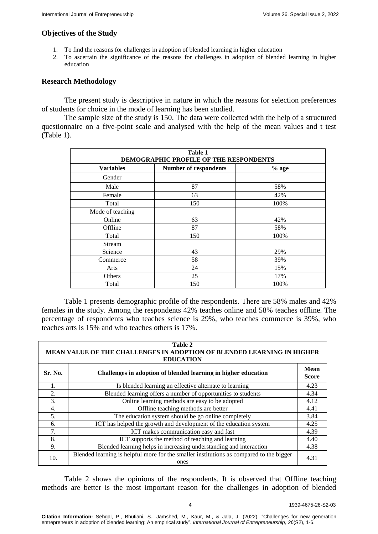## **Objectives of the Study**

- 1. To find the reasons for challenges in adoption of blended learning in higher education
- 2. To ascertain the significance of the reasons for challenges in adoption of blended learning in higher education

## **Research Methodology**

The present study is descriptive in nature in which the reasons for selection preferences of students for choice in the mode of learning has been studied.

The sample size of the study is 150. The data were collected with the help of a structured questionnaire on a five-point scale and analysed with the help of the mean values and t test (Table 1).

| Table 1<br>DEMOGRAPHIC PROFILE OF THE RESPONDENTS |                              |         |  |  |
|---------------------------------------------------|------------------------------|---------|--|--|
| <b>Variables</b>                                  | <b>Number of respondents</b> | $%$ age |  |  |
| Gender                                            |                              |         |  |  |
| Male                                              | 87                           | 58%     |  |  |
| Female                                            | 63                           | 42%     |  |  |
| Total                                             | 150                          | 100%    |  |  |
| Mode of teaching                                  |                              |         |  |  |
| Online                                            | 63                           | 42%     |  |  |
| Offline                                           | 87                           | 58%     |  |  |
| Total                                             | 150                          | 100%    |  |  |
| Stream                                            |                              |         |  |  |
| Science                                           | 43                           | 29%     |  |  |
| Commerce                                          | 58                           | 39%     |  |  |
| Arts                                              | 24                           | 15%     |  |  |
| Others                                            | 25                           | 17%     |  |  |
| Total                                             | 150                          | 100%    |  |  |

Table 1 presents demographic profile of the respondents. There are 58% males and 42% females in the study. Among the respondents 42% teaches online and 58% teaches offline. The percentage of respondents who teaches science is 29%, who teaches commerce is 39%, who teaches arts is 15% and who teaches others is 17%.

| Table 2<br>MEAN VALUE OF THE CHALLENGES IN ADOPTION OF BLENDED LEARNING IN HIGHER<br><b>EDUCATION</b> |                                                                                                 |      |  |  |
|-------------------------------------------------------------------------------------------------------|-------------------------------------------------------------------------------------------------|------|--|--|
| Sr. No.                                                                                               | Challenges in adoption of blended learning in higher education                                  |      |  |  |
|                                                                                                       | Is blended learning an effective alternate to learning                                          | 4.23 |  |  |
| 2.                                                                                                    | Blended learning offers a number of opportunities to students                                   | 4.34 |  |  |
| 3.                                                                                                    | Online learning methods are easy to be adopted                                                  | 4.12 |  |  |
| 4.                                                                                                    | Offline teaching methods are better                                                             | 4.41 |  |  |
| 5.                                                                                                    | The education system should be go online completely                                             |      |  |  |
| 6.                                                                                                    | ICT has helped the growth and development of the education system                               | 4.25 |  |  |
| 7.                                                                                                    | ICT makes communication easy and fast                                                           | 4.39 |  |  |
| 8.                                                                                                    | ICT supports the method of teaching and learning                                                | 4.40 |  |  |
| 9.                                                                                                    | Blended learning helps in increasing understanding and interaction                              | 4.38 |  |  |
| 10.                                                                                                   | Blended learning is helpful more for the smaller institutions as compared to the bigger<br>ones | 4.31 |  |  |

Table 2 shows the opinions of the respondents. It is observed that Offline teaching methods are better is the most important reason for the challenges in adoption of blended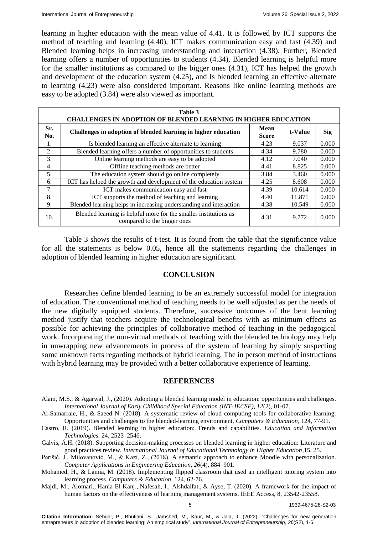learning in higher education with the mean value of 4.41. It is followed by ICT supports the method of teaching and learning (4.40), ICT makes communication easy and fast (4.39) and Blended learning helps in increasing understanding and interaction (4.38). Further, Blended learning offers a number of opportunities to students (4.34), Blended learning is helpful more for the smaller institutions as compared to the bigger ones (4.31), ICT has helped the growth and development of the education system (4.25), and Is blended learning an effective alternate to learning (4.23) were also considered important. Reasons like online learning methods are easy to be adopted (3.84) were also viewed as important.

| Table 3<br><b>CHALLENGES IN ADOPTION OF BLENDED LEARNING IN HIGHER EDUCATION</b> |                                                                                                 |      |         |            |  |  |
|----------------------------------------------------------------------------------|-------------------------------------------------------------------------------------------------|------|---------|------------|--|--|
| Sr.<br>No.                                                                       | Challenges in adoption of blended learning in higher education                                  |      | t-Value | <b>Sig</b> |  |  |
| 1.                                                                               | Is blended learning an effective alternate to learning                                          | 4.23 | 9.037   | 0.000      |  |  |
| 2.                                                                               | Blended learning offers a number of opportunities to students                                   | 4.34 | 9.780   | 0.000      |  |  |
| 3.                                                                               | Online learning methods are easy to be adopted                                                  | 4.12 | 7.040   | 0.000      |  |  |
| 4.                                                                               | Offline teaching methods are better                                                             | 4.41 | 8.825   | 0.000      |  |  |
| 5.                                                                               | The education system should go online completely                                                | 3.84 | 3.460   | 0.000      |  |  |
| 6.                                                                               | ICT has helped the growth and development of the education system                               | 4.25 | 8.608   | 0.000      |  |  |
| 7.                                                                               | ICT makes communication easy and fast                                                           | 4.39 | 10.614  | 0.000      |  |  |
| 8.                                                                               | ICT supports the method of teaching and learning                                                | 4.40 | 11.871  | 0.000      |  |  |
| 9.                                                                               | Blended learning helps in increasing understanding and interaction                              | 4.38 | 10.549  | 0.000      |  |  |
| 10.                                                                              | Blended learning is helpful more for the smaller institutions as<br>compared to the bigger ones | 4.31 | 9.772   | 0.000      |  |  |

Table 3 shows the results of t-test. It is found from the table that the significance value for all the statements is below 0.05, hence all the statements regarding the challenges in adoption of blended learning in higher education are significant.

## **CONCLUSION**

Researches define blended learning to be an extremely successful model for integration of education. The conventional method of teaching needs to be well adjusted as per the needs of the new digitally equipped students. Therefore, successive outcomes of the bent learning method justify that teachers acquire the technological benefits with as minimum effects as possible for achieving the principles of collaborative method of teaching in the pedagogical work. Incorporating the non-virtual methods of teaching with the blended technology may help in unwrapping new advancements in process of the system of learning by simply suspecting some unknown facts regarding methods of hybrid learning. The in person method of instructions with hybrid learning may be provided with a better collaborative experience of learning.

### **REFERENCES**

- Alam, M.S., & Agarwal, J., (2020). Adopting a blended learning model in education: opportunities and challenges. *International Journal of Early Childhood Special Education (INT-JECSE), 12*(2), 01-07.
- Al-Samarraie, H., & Saeed N. (2018). A systematic review of cloud computing tools for collaborative learning: Opportunities and challenges to the blended-learning environment, *Computers & Education*, 124, 77-91.
- Castro, R. (2019). Blended learning in higher education: Trends and capabilities*. Education and Information Technologies.* 24, 2523–2546.
- Galvis, Á.H. (2018). Supporting decision-making processes on blended learning in higher education: Literature and good practices review. *International Journal of Educational Technology in Higher Education,*15, 25.
- Perišić, J., Milovanović, M., & Kazi, Z., (2018). A semantic approach to enhance Moodle with personalization. *Computer Applications in Engineering Education, 26*(4), 884–901.

Mohamed, H., & Lamia, M. (2018). Implementing flipped classroom that used an intelligent tutoring system into learning process. *Computers & Education*, 124, 62-76.

Majdi, M., Alomari., Hania El-Kanj., Nafesah, I., Alshdaifat., & Ayse, T. (2020). A framework for the impact of human factors on the effectiveness of learning management systems. IEEE Access, 8, 23542-23558.

**Citation Information:** Sehgal, P., Bhutiani, S., Jamshed, M., Kaur, M., & Jala, J. (2022). "Challenges for new generation entrepreneurs in adoption of blended learning: An empirical study". *International Journal of Entrepreneurship, 26*(S2), 1-6.